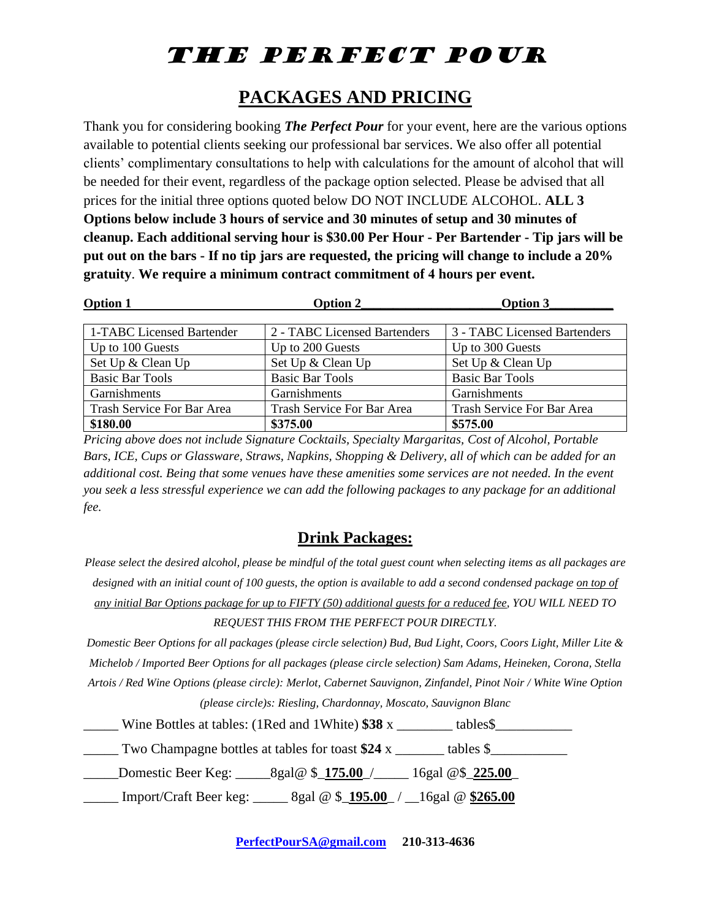### **PACKAGES AND PRICING**

Thank you for considering booking *The Perfect Pour* for your event, here are the various options available to potential clients seeking our professional bar services. We also offer all potential clients' complimentary consultations to help with calculations for the amount of alcohol that will be needed for their event, regardless of the package option selected. Please be advised that all prices for the initial three options quoted below DO NOT INCLUDE ALCOHOL. **ALL 3 Options below include 3 hours of service and 30 minutes of setup and 30 minutes of cleanup. Each additional serving hour is \$30.00 Per Hour - Per Bartender - Tip jars will be put out on the bars - If no tip jars are requested, the pricing will change to include a 20% gratuity**. **We require a minimum contract commitment of 4 hours per event.** 

| <b>Option 1</b>            | <b>Option 2</b>              | Option 3                     |
|----------------------------|------------------------------|------------------------------|
|                            |                              |                              |
| 1-TABC Licensed Bartender  | 2 - TABC Licensed Bartenders | 3 - TABC Licensed Bartenders |
| Up to 100 Guests           | Up to 200 Guests             | Up to 300 Guests             |
| Set Up & Clean Up          | Set Up & Clean Up            | Set Up & Clean Up            |
| <b>Basic Bar Tools</b>     | <b>Basic Bar Tools</b>       | <b>Basic Bar Tools</b>       |
| Garnishments               | Garnishments                 | Garnishments                 |
| Trash Service For Bar Area | Trash Service For Bar Area   | Trash Service For Bar Area   |
| \$180.00                   | \$375.00                     | \$575.00                     |

*Pricing above does not include Signature Cocktails, Specialty Margaritas, Cost of Alcohol, Portable Bars, ICE, Cups or Glassware, Straws, Napkins, Shopping & Delivery, all of which can be added for an additional cost. Being that some venues have these amenities some services are not needed. In the event you seek a less stressful experience we can add the following packages to any package for an additional fee.*

### **Drink Packages:**

| Please select the desired alcohol, please be mindful of the total guest count when selecting items as all packages are |  |  |
|------------------------------------------------------------------------------------------------------------------------|--|--|
| designed with an initial count of 100 guests, the option is available to add a second condensed package on top of      |  |  |
| any initial Bar Options package for up to FIFTY (50) additional guests for a reduced fee, YOU WILL NEED TO             |  |  |
| <b>REQUEST THIS FROM THE PERFECT POUR DIRECTLY.</b>                                                                    |  |  |
| Domestic Beer Options for all packages (please circle selection) Bud, Bud Light, Coors, Coors Light, Miller Lite &     |  |  |
| Michelob / Imported Beer Options for all packages (please circle selection) Sam Adams, Heineken, Corona, Stella        |  |  |
| Artois / Red Wine Options (please circle): Merlot, Cabernet Sauvignon, Zinfandel, Pinot Noir / White Wine Option       |  |  |
| (please circle)s: Riesling, Chardonnay, Moscato, Sauvignon Blanc                                                       |  |  |
| Wine Bottles at tables: (1Red and 1White) $$38 x$<br>tables\$                                                          |  |  |
| Two Champagne bottles at tables for toast \$24 x ________ tables $\S$                                                  |  |  |
| 16gal $@$ \$ 225.00                                                                                                    |  |  |

\_\_\_\_\_ Import/Craft Beer keg: \_\_\_\_\_ 8gal @ \$\_**195.00**\_ / \_\_16gal @ **\$265.00**

**[PerfectPourSA@gmail.com](mailto:PerfectPourSA@gmail.com) 210-313-4636**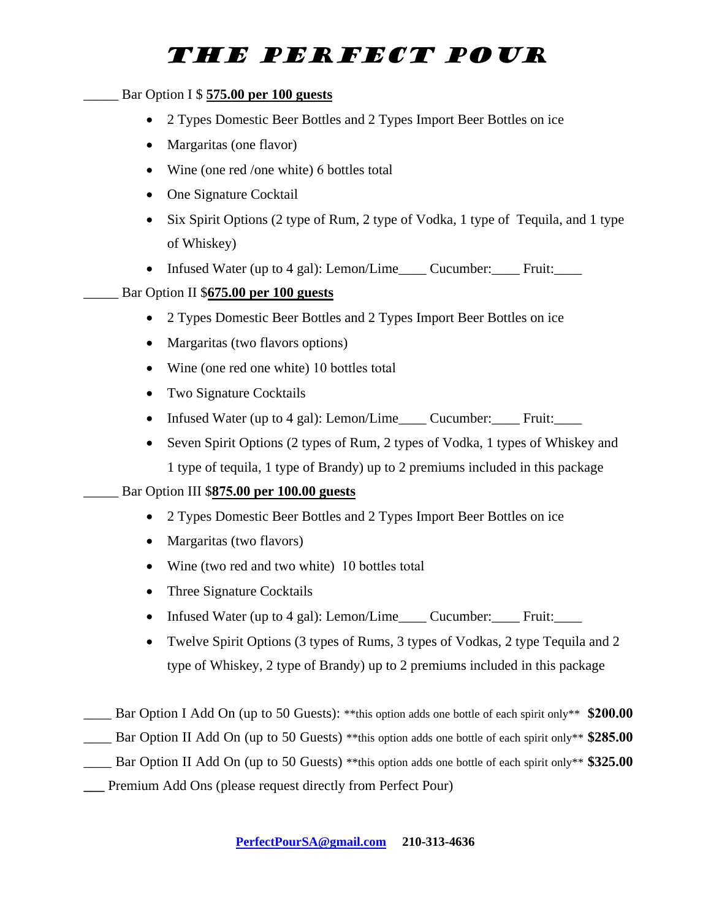#### \_\_\_\_\_ Bar Option I \$ **575.00 per 100 guests**

- 2 Types Domestic Beer Bottles and 2 Types Import Beer Bottles on ice
- Margaritas (one flavor)
- Wine (one red /one white) 6 bottles total
- One Signature Cocktail
- Six Spirit Options (2 type of Rum, 2 type of Vodka, 1 type of Tequila, and 1 type of Whiskey)
- Infused Water (up to 4 gal): Lemon/Lime Cucumber: Fruit:

#### \_\_\_\_\_ Bar Option II \$**675.00 per 100 guests**

- 2 Types Domestic Beer Bottles and 2 Types Import Beer Bottles on ice
- Margaritas (two flavors options)
- Wine (one red one white) 10 bottles total
- Two Signature Cocktails
- Infused Water (up to 4 gal): Lemon/Lime\_\_\_\_ Cucumber: Fruit:
- Seven Spirit Options (2 types of Rum, 2 types of Vodka, 1 types of Whiskey and 1 type of tequila, 1 type of Brandy) up to 2 premiums included in this package

#### \_\_\_\_\_ Bar Option III \$**875.00 per 100.00 guests**

- 2 Types Domestic Beer Bottles and 2 Types Import Beer Bottles on ice
- Margaritas (two flavors)
- Wine (two red and two white) 10 bottles total
- Three Signature Cocktails
- Infused Water (up to 4 gal): Lemon/Lime\_\_\_\_ Cucumber: Fruit:
- Twelve Spirit Options (3 types of Rums, 3 types of Vodkas, 2 type Tequila and 2 type of Whiskey, 2 type of Brandy) up to 2 premiums included in this package
- \_\_\_\_ Bar Option I Add On (up to 50 Guests): \*\*this option adds one bottle of each spirit only\*\* **\$200.00**
- \_\_\_\_ Bar Option II Add On (up to 50 Guests) \*\*this option adds one bottle of each spirit only\*\* **\$285.00**
- \_\_\_\_ Bar Option II Add On (up to 50 Guests) \*\*this option adds one bottle of each spirit only\*\* **\$325.00**
- **\_\_\_** Premium Add Ons (please request directly from Perfect Pour)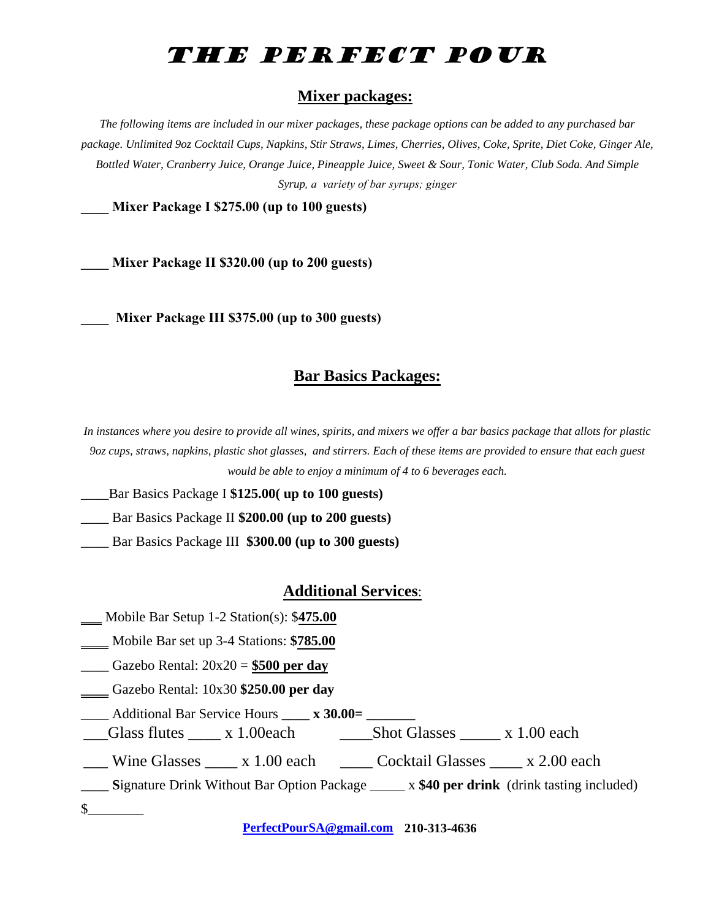#### **Mixer packages:**

*The following items are included in our mixer packages, these package options can be added to any purchased bar package. Unlimited 9oz Cocktail Cups, Napkins, Stir Straws, Limes, Cherries, Olives, Coke, Sprite, Diet Coke, Ginger Ale, Bottled Water, Cranberry Juice, Orange Juice, Pineapple Juice, Sweet & Sour, Tonic Water, Club Soda. And Simple Syrup, a variety of bar syrups; ginger*

**\_\_\_\_ Mixer Package I \$275.00 (up to 100 guests)** 

**\_\_\_\_ Mixer Package II \$320.00 (up to 200 guests)** 

**\_\_\_\_ Mixer Package III \$375.00 (up to 300 guests)**

#### **Bar Basics Packages:**

*In instances where you desire to provide all wines, spirits, and mixers we offer a bar basics package that allots for plastic 9oz cups, straws, napkins, plastic shot glasses, and stirrers. Each of these items are provided to ensure that each guest would be able to enjoy a minimum of 4 to 6 beverages each.* 

\_\_\_\_Bar Basics Package I **\$125.00( up to 100 guests)**

\_\_\_\_ Bar Basics Package II **\$200.00 (up to 200 guests)**

\_\_\_\_ Bar Basics Package III **\$300.00 (up to 300 guests)**

#### **Additional Services**:

- **\_\_\_** Mobile Bar Setup 1-2 Station(s): \$**475.00**
- \_\_\_\_ Mobile Bar set up 3-4 Stations: **\$785.00**

\_\_\_\_ Gazebo Rental: 20x20 = **\$500 per day**

**\_\_\_\_** Gazebo Rental: 10x30 **\$250.00 per day** 

\_\_\_\_ Additional Bar Service Hours **\_\_\_\_ x 30.00= \_\_\_\_\_\_\_** 

\_\_\_Glass flutes \_\_\_\_ x 1.00each \_\_\_\_Shot Glasses \_\_\_\_\_ x 1.00 each

Wine Glasses  $\qquad x \quad 1.00$  each  $\qquad$  Cocktail Glasses  $\qquad x \quad 2.00$  each

**\_\_\_\_ S**ignature Drink Without Bar Option Package \_\_\_\_\_ x **\$40 per drink** (drink tasting included)

 $\mathcal{S}$ 

**[PerfectPourSA@gmail.com](mailto:PerfectPourSA@gmail.com) 210-313-4636**